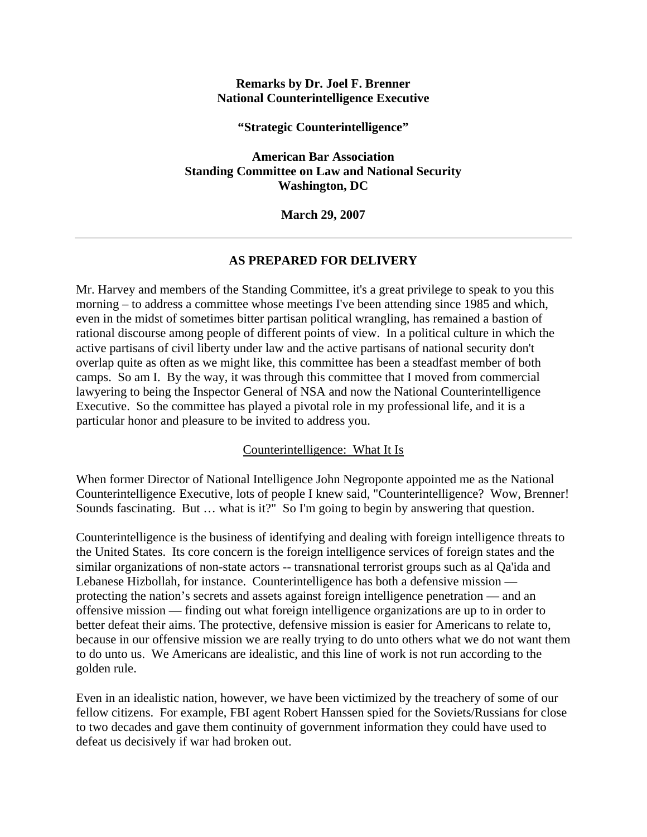#### **Remarks by Dr. Joel F. Brenner National Counterintelligence Executive**

**"Strategic Counterintelligence"** 

**American Bar Association Standing Committee on Law and National Security Washington, DC** 

**March 29, 2007** 

### **AS PREPARED FOR DELIVERY**

Mr. Harvey and members of the Standing Committee, it's a great privilege to speak to you this morning – to address a committee whose meetings I've been attending since 1985 and which, even in the midst of sometimes bitter partisan political wrangling, has remained a bastion of rational discourse among people of different points of view. In a political culture in which the active partisans of civil liberty under law and the active partisans of national security don't overlap quite as often as we might like, this committee has been a steadfast member of both camps. So am I. By the way, it was through this committee that I moved from commercial lawyering to being the Inspector General of NSA and now the National Counterintelligence Executive. So the committee has played a pivotal role in my professional life, and it is a particular honor and pleasure to be invited to address you.

### Counterintelligence: What It Is

When former Director of National Intelligence John Negroponte appointed me as the National Counterintelligence Executive, lots of people I knew said, "Counterintelligence? Wow, Brenner! Sounds fascinating. But … what is it?" So I'm going to begin by answering that question.

Counterintelligence is the business of identifying and dealing with foreign intelligence threats to the United States. Its core concern is the foreign intelligence services of foreign states and the similar organizations of non-state actors -- transnational terrorist groups such as al Qa'ida and Lebanese Hizbollah, for instance. Counterintelligence has both a defensive mission protecting the nation's secrets and assets against foreign intelligence penetration — and an offensive mission — finding out what foreign intelligence organizations are up to in order to better defeat their aims. The protective, defensive mission is easier for Americans to relate to, because in our offensive mission we are really trying to do unto others what we do not want them to do unto us. We Americans are idealistic, and this line of work is not run according to the golden rule.

Even in an idealistic nation, however, we have been victimized by the treachery of some of our fellow citizens. For example, FBI agent Robert Hanssen spied for the Soviets/Russians for close to two decades and gave them continuity of government information they could have used to defeat us decisively if war had broken out.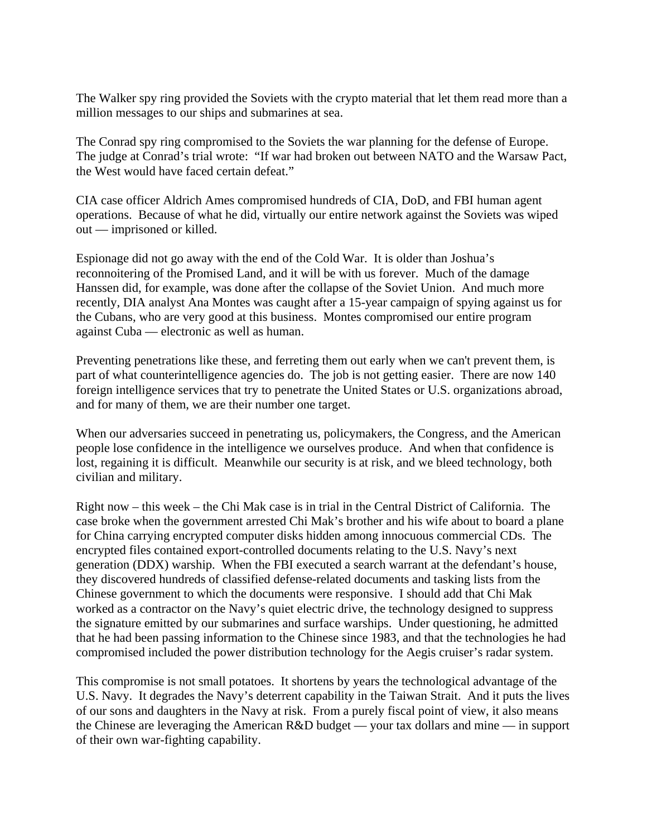The Walker spy ring provided the Soviets with the crypto material that let them read more than a million messages to our ships and submarines at sea.

The Conrad spy ring compromised to the Soviets the war planning for the defense of Europe. The judge at Conrad's trial wrote: "If war had broken out between NATO and the Warsaw Pact, the West would have faced certain defeat."

CIA case officer Aldrich Ames compromised hundreds of CIA, DoD, and FBI human agent operations. Because of what he did, virtually our entire network against the Soviets was wiped out — imprisoned or killed.

Espionage did not go away with the end of the Cold War. It is older than Joshua's reconnoitering of the Promised Land, and it will be with us forever. Much of the damage Hanssen did, for example, was done after the collapse of the Soviet Union. And much more recently, DIA analyst Ana Montes was caught after a 15-year campaign of spying against us for the Cubans, who are very good at this business. Montes compromised our entire program against Cuba — electronic as well as human.

Preventing penetrations like these, and ferreting them out early when we can't prevent them, is part of what counterintelligence agencies do. The job is not getting easier. There are now 140 foreign intelligence services that try to penetrate the United States or U.S. organizations abroad, and for many of them, we are their number one target.

When our adversaries succeed in penetrating us, policymakers, the Congress, and the American people lose confidence in the intelligence we ourselves produce. And when that confidence is lost, regaining it is difficult. Meanwhile our security is at risk, and we bleed technology, both civilian and military.

Right now – this week – the Chi Mak case is in trial in the Central District of California. The case broke when the government arrested Chi Mak's brother and his wife about to board a plane for China carrying encrypted computer disks hidden among innocuous commercial CDs. The encrypted files contained export-controlled documents relating to the U.S. Navy's next generation (DDX) warship. When the FBI executed a search warrant at the defendant's house, they discovered hundreds of classified defense-related documents and tasking lists from the Chinese government to which the documents were responsive. I should add that Chi Mak worked as a contractor on the Navy's quiet electric drive, the technology designed to suppress the signature emitted by our submarines and surface warships. Under questioning, he admitted that he had been passing information to the Chinese since 1983, and that the technologies he had compromised included the power distribution technology for the Aegis cruiser's radar system.

This compromise is not small potatoes. It shortens by years the technological advantage of the U.S. Navy. It degrades the Navy's deterrent capability in the Taiwan Strait. And it puts the lives of our sons and daughters in the Navy at risk. From a purely fiscal point of view, it also means the Chinese are leveraging the American R&D budget — your tax dollars and mine — in support of their own war-fighting capability.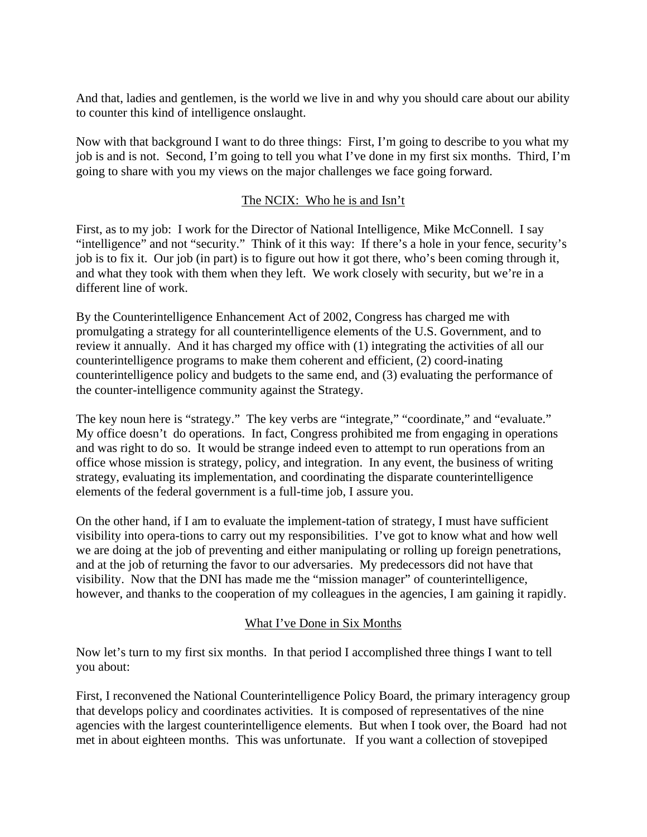And that, ladies and gentlemen, is the world we live in and why you should care about our ability to counter this kind of intelligence onslaught.

Now with that background I want to do three things: First, I'm going to describe to you what my job is and is not. Second, I'm going to tell you what I've done in my first six months. Third, I'm going to share with you my views on the major challenges we face going forward.

# The NCIX: Who he is and Isn't

First, as to my job: I work for the Director of National Intelligence, Mike McConnell. I say "intelligence" and not "security." Think of it this way: If there's a hole in your fence, security's job is to fix it. Our job (in part) is to figure out how it got there, who's been coming through it, and what they took with them when they left. We work closely with security, but we're in a different line of work.

By the Counterintelligence Enhancement Act of 2002, Congress has charged me with promulgating a strategy for all counterintelligence elements of the U.S. Government, and to review it annually. And it has charged my office with (1) integrating the activities of all our counterintelligence programs to make them coherent and efficient, (2) coord-inating counterintelligence policy and budgets to the same end, and (3) evaluating the performance of the counter-intelligence community against the Strategy.

The key noun here is "strategy." The key verbs are "integrate," "coordinate," and "evaluate." My office doesn't do operations. In fact, Congress prohibited me from engaging in operations and was right to do so. It would be strange indeed even to attempt to run operations from an office whose mission is strategy, policy, and integration. In any event, the business of writing strategy, evaluating its implementation, and coordinating the disparate counterintelligence elements of the federal government is a full-time job, I assure you.

On the other hand, if I am to evaluate the implement-tation of strategy, I must have sufficient visibility into opera-tions to carry out my responsibilities. I've got to know what and how well we are doing at the job of preventing and either manipulating or rolling up foreign penetrations, and at the job of returning the favor to our adversaries. My predecessors did not have that visibility. Now that the DNI has made me the "mission manager" of counterintelligence, however, and thanks to the cooperation of my colleagues in the agencies, I am gaining it rapidly.

## What I've Done in Six Months

Now let's turn to my first six months. In that period I accomplished three things I want to tell you about:

First, I reconvened the National Counterintelligence Policy Board, the primary interagency group that develops policy and coordinates activities. It is composed of representatives of the nine agencies with the largest counterintelligence elements. But when I took over, the Board had not met in about eighteen months. This was unfortunate. If you want a collection of stovepiped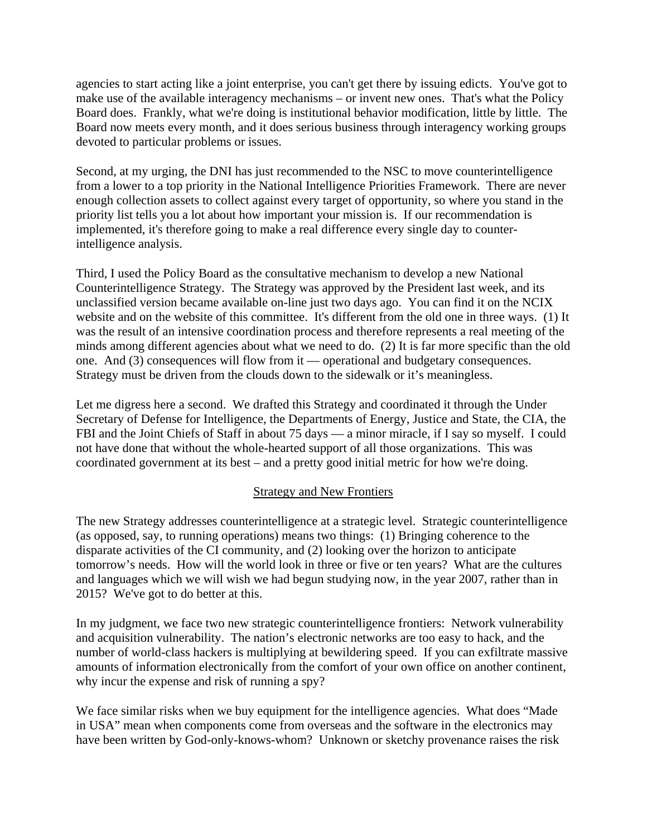agencies to start acting like a joint enterprise, you can't get there by issuing edicts. You've got to make use of the available interagency mechanisms – or invent new ones. That's what the Policy Board does. Frankly, what we're doing is institutional behavior modification, little by little. The Board now meets every month, and it does serious business through interagency working groups devoted to particular problems or issues.

Second, at my urging, the DNI has just recommended to the NSC to move counterintelligence from a lower to a top priority in the National Intelligence Priorities Framework. There are never enough collection assets to collect against every target of opportunity, so where you stand in the priority list tells you a lot about how important your mission is. If our recommendation is implemented, it's therefore going to make a real difference every single day to counterintelligence analysis.

Third, I used the Policy Board as the consultative mechanism to develop a new National Counterintelligence Strategy. The Strategy was approved by the President last week, and its unclassified version became available on-line just two days ago. You can find it on the NCIX website and on the website of this committee. It's different from the old one in three ways. (1) It was the result of an intensive coordination process and therefore represents a real meeting of the minds among different agencies about what we need to do. (2) It is far more specific than the old one. And (3) consequences will flow from it — operational and budgetary consequences. Strategy must be driven from the clouds down to the sidewalk or it's meaningless.

Let me digress here a second. We drafted this Strategy and coordinated it through the Under Secretary of Defense for Intelligence, the Departments of Energy, Justice and State, the CIA, the FBI and the Joint Chiefs of Staff in about 75 days — a minor miracle, if I say so myself. I could not have done that without the whole-hearted support of all those organizations. This was coordinated government at its best – and a pretty good initial metric for how we're doing.

## Strategy and New Frontiers

The new Strategy addresses counterintelligence at a strategic level. Strategic counterintelligence (as opposed, say, to running operations) means two things: (1) Bringing coherence to the disparate activities of the CI community, and (2) looking over the horizon to anticipate tomorrow's needs. How will the world look in three or five or ten years? What are the cultures and languages which we will wish we had begun studying now, in the year 2007, rather than in 2015? We've got to do better at this.

In my judgment, we face two new strategic counterintelligence frontiers: Network vulnerability and acquisition vulnerability. The nation's electronic networks are too easy to hack, and the number of world-class hackers is multiplying at bewildering speed. If you can exfiltrate massive amounts of information electronically from the comfort of your own office on another continent, why incur the expense and risk of running a spy?

We face similar risks when we buy equipment for the intelligence agencies. What does "Made in USA" mean when components come from overseas and the software in the electronics may have been written by God-only-knows-whom? Unknown or sketchy provenance raises the risk